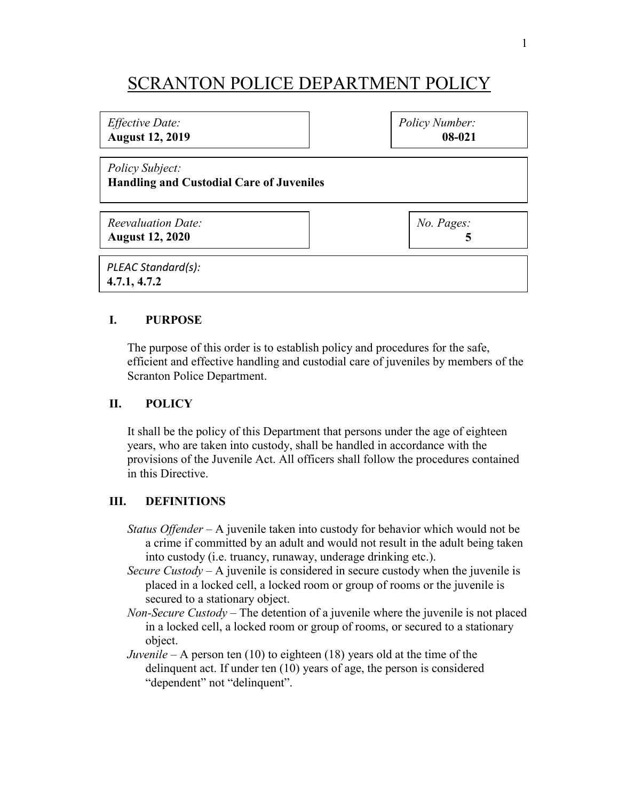# SCRANTON POLICE DEPARTMENT POLICY

| <i>Effective Date:</i>                                             | Policy Number: |
|--------------------------------------------------------------------|----------------|
| <b>August 12, 2019</b>                                             | 08-021         |
| Policy Subject:<br><b>Handling and Custodial Care of Juveniles</b> |                |
| <b>Reevaluation Date:</b>                                          | No. Pages:     |
| <b>August 12, 2020</b>                                             | 5              |
| PLEAC Standard(s):<br>4.7.1, 4.7.2                                 |                |

## **I. PURPOSE**

The purpose of this order is to establish policy and procedures for the safe, efficient and effective handling and custodial care of juveniles by members of the Scranton Police Department.

## **II. POLICY**

It shall be the policy of this Department that persons under the age of eighteen years, who are taken into custody, shall be handled in accordance with the provisions of the Juvenile Act. All officers shall follow the procedures contained in this Directive.

## **III. DEFINITIONS**

- *Status Offender* A juvenile taken into custody for behavior which would not be a crime if committed by an adult and would not result in the adult being taken into custody (i.e. truancy, runaway, underage drinking etc.).
- *Secure Custody* A juvenile is considered in secure custody when the juvenile is placed in a locked cell, a locked room or group of rooms or the juvenile is secured to a stationary object.
- *Non-Secure Custody* The detention of a juvenile where the juvenile is not placed in a locked cell, a locked room or group of rooms, or secured to a stationary object.
- *Juvenile* A person ten (10) to eighteen (18) years old at the time of the delinquent act. If under ten (10) years of age, the person is considered "dependent" not "delinquent".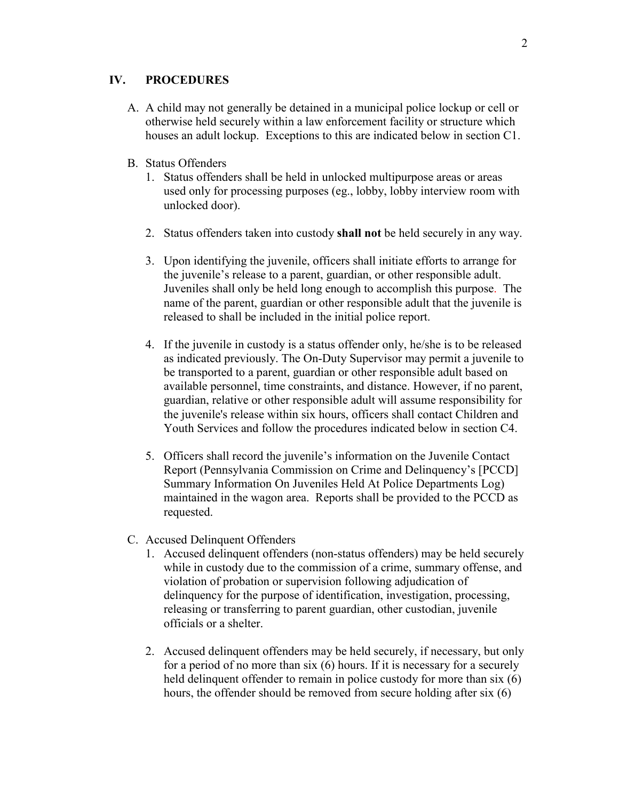## **IV. PROCEDURES**

- A. A child may not generally be detained in a municipal police lockup or cell or otherwise held securely within a law enforcement facility or structure which houses an adult lockup. Exceptions to this are indicated below in section C1.
- B. Status Offenders
	- 1. Status offenders shall be held in unlocked multipurpose areas or areas used only for processing purposes (eg., lobby, lobby interview room with unlocked door).
	- 2. Status offenders taken into custody **shall not** be held securely in any way.
	- 3. Upon identifying the juvenile, officers shall initiate efforts to arrange for the juvenile's release to a parent, guardian, or other responsible adult. Juveniles shall only be held long enough to accomplish this purpose. The name of the parent, guardian or other responsible adult that the juvenile is released to shall be included in the initial police report.
	- 4. If the juvenile in custody is a status offender only, he/she is to be released as indicated previously. The On-Duty Supervisor may permit a juvenile to be transported to a parent, guardian or other responsible adult based on available personnel, time constraints, and distance. However, if no parent, guardian, relative or other responsible adult will assume responsibility for the juvenile's release within six hours, officers shall contact Children and Youth Services and follow the procedures indicated below in section C4.
	- 5. Officers shall record the juvenile's information on the Juvenile Contact Report (Pennsylvania Commission on Crime and Delinquency's [PCCD] Summary Information On Juveniles Held At Police Departments Log) maintained in the wagon area. Reports shall be provided to the PCCD as requested.
- C. Accused Delinquent Offenders
	- 1. Accused delinquent offenders (non-status offenders) may be held securely while in custody due to the commission of a crime, summary offense, and violation of probation or supervision following adjudication of delinquency for the purpose of identification, investigation, processing, releasing or transferring to parent guardian, other custodian, juvenile officials or a shelter.
	- 2. Accused delinquent offenders may be held securely, if necessary, but only for a period of no more than six (6) hours. If it is necessary for a securely held delinquent offender to remain in police custody for more than six (6) hours, the offender should be removed from secure holding after six (6)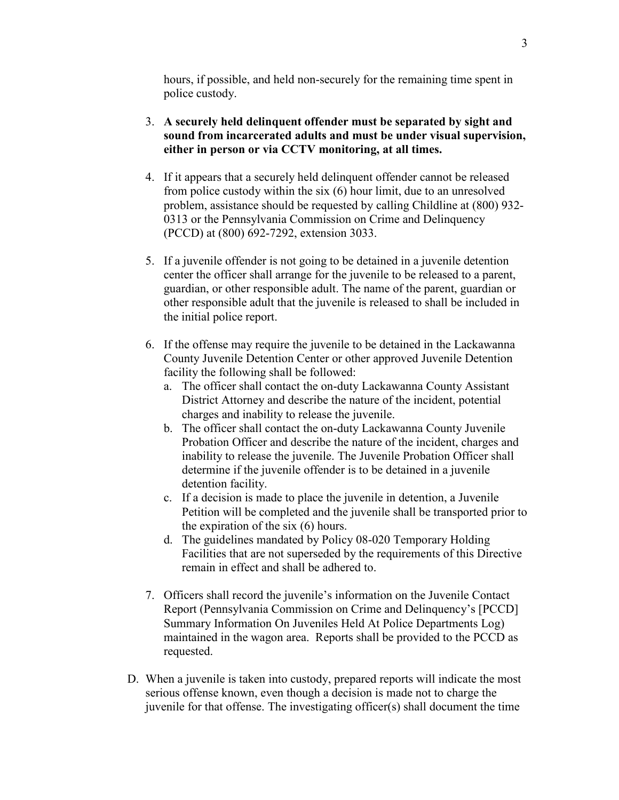hours, if possible, and held non-securely for the remaining time spent in police custody.

- 3. **A securely held delinquent offender must be separated by sight and sound from incarcerated adults and must be under visual supervision, either in person or via CCTV monitoring, at all times.**
- 4. If it appears that a securely held delinquent offender cannot be released from police custody within the six (6) hour limit, due to an unresolved problem, assistance should be requested by calling Childline at (800) 932- 0313 or the Pennsylvania Commission on Crime and Delinquency (PCCD) at (800) 692-7292, extension 3033.
- 5. If a juvenile offender is not going to be detained in a juvenile detention center the officer shall arrange for the juvenile to be released to a parent, guardian, or other responsible adult. The name of the parent, guardian or other responsible adult that the juvenile is released to shall be included in the initial police report.
- 6. If the offense may require the juvenile to be detained in the Lackawanna County Juvenile Detention Center or other approved Juvenile Detention facility the following shall be followed:
	- a. The officer shall contact the on-duty Lackawanna County Assistant District Attorney and describe the nature of the incident, potential charges and inability to release the juvenile.
	- b. The officer shall contact the on-duty Lackawanna County Juvenile Probation Officer and describe the nature of the incident, charges and inability to release the juvenile. The Juvenile Probation Officer shall determine if the juvenile offender is to be detained in a juvenile detention facility.
	- c. If a decision is made to place the juvenile in detention, a Juvenile Petition will be completed and the juvenile shall be transported prior to the expiration of the six (6) hours.
	- d. The guidelines mandated by Policy 08-020 Temporary Holding Facilities that are not superseded by the requirements of this Directive remain in effect and shall be adhered to.
- 7. Officers shall record the juvenile's information on the Juvenile Contact Report (Pennsylvania Commission on Crime and Delinquency's [PCCD] Summary Information On Juveniles Held At Police Departments Log) maintained in the wagon area. Reports shall be provided to the PCCD as requested.
- D. When a juvenile is taken into custody, prepared reports will indicate the most serious offense known, even though a decision is made not to charge the juvenile for that offense. The investigating officer(s) shall document the time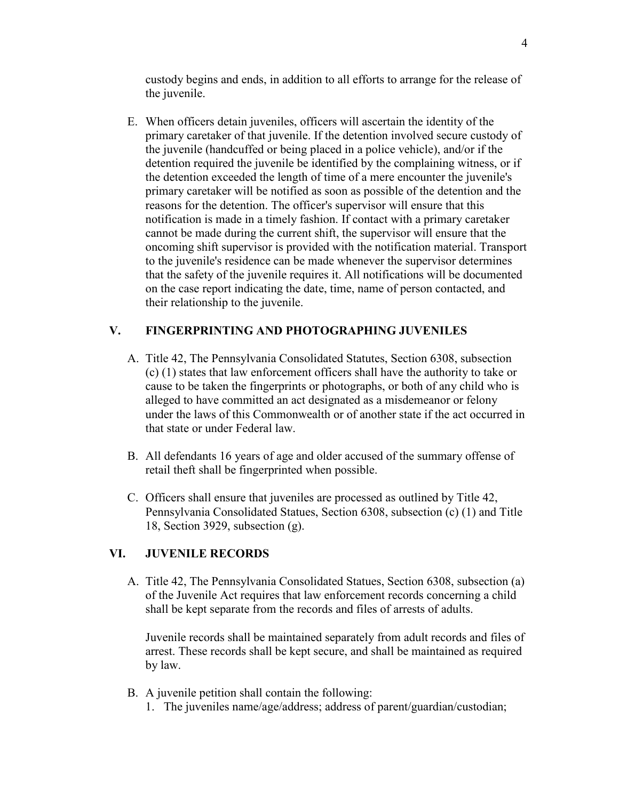custody begins and ends, in addition to all efforts to arrange for the release of the juvenile.

E. When officers detain juveniles, officers will ascertain the identity of the primary caretaker of that juvenile. If the detention involved secure custody of the juvenile (handcuffed or being placed in a police vehicle), and/or if the detention required the juvenile be identified by the complaining witness, or if the detention exceeded the length of time of a mere encounter the juvenile's primary caretaker will be notified as soon as possible of the detention and the reasons for the detention. The officer's supervisor will ensure that this notification is made in a timely fashion. If contact with a primary caretaker cannot be made during the current shift, the supervisor will ensure that the oncoming shift supervisor is provided with the notification material. Transport to the juvenile's residence can be made whenever the supervisor determines that the safety of the juvenile requires it. All notifications will be documented on the case report indicating the date, time, name of person contacted, and their relationship to the juvenile.

# **V. FINGERPRINTING AND PHOTOGRAPHING JUVENILES**

- A. Title 42, The Pennsylvania Consolidated Statutes, Section 6308, subsection (c) (1) states that law enforcement officers shall have the authority to take or cause to be taken the fingerprints or photographs, or both of any child who is alleged to have committed an act designated as a misdemeanor or felony under the laws of this Commonwealth or of another state if the act occurred in that state or under Federal law.
- B. All defendants 16 years of age and older accused of the summary offense of retail theft shall be fingerprinted when possible.
- C. Officers shall ensure that juveniles are processed as outlined by Title 42, Pennsylvania Consolidated Statues, Section 6308, subsection (c) (1) and Title 18, Section 3929, subsection (g).

## **VI. JUVENILE RECORDS**

A. Title 42, The Pennsylvania Consolidated Statues, Section 6308, subsection (a) of the Juvenile Act requires that law enforcement records concerning a child shall be kept separate from the records and files of arrests of adults.

Juvenile records shall be maintained separately from adult records and files of arrest. These records shall be kept secure, and shall be maintained as required by law.

- B. A juvenile petition shall contain the following:
	- 1. The juveniles name/age/address; address of parent/guardian/custodian;